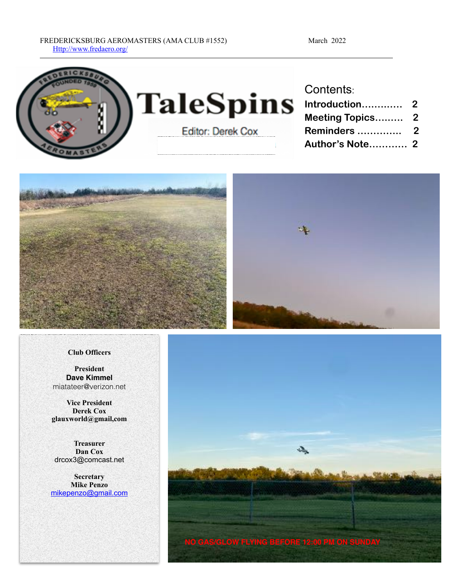



#### **Club Officers**

**President Dave Kimmel** miatateer@verizon.net

**Vice President Derek Cox glauxworld@gmail,com**

**Treasurer Dan Cox** drcox3@comcast.net

**Secretary Mike Penzo**  [mikepenzo@gmail.com](mailto:mikepenzo@gmail.com)